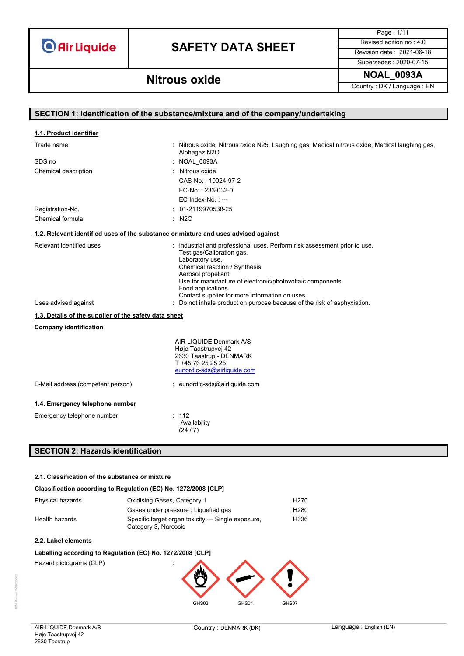# **SAFETY DATA SHEET** Revised edition no : 4.0

Page : 1/11

Supersedes : 2020-07-15

### **NOAL\_0093A Nitrous oxide**

Country : DK / Language : EN

| SECTION 1: Identification of the substance/mixture and of the company/undertaking  |                                                                                                                                                                                                                                                                                                                          |  |
|------------------------------------------------------------------------------------|--------------------------------------------------------------------------------------------------------------------------------------------------------------------------------------------------------------------------------------------------------------------------------------------------------------------------|--|
| 1.1. Product identifier                                                            |                                                                                                                                                                                                                                                                                                                          |  |
|                                                                                    |                                                                                                                                                                                                                                                                                                                          |  |
| Trade name                                                                         | : Nitrous oxide, Nitrous oxide N25, Laughing gas, Medical nitrous oxide, Medical laughing gas,<br>Alphagaz N2O                                                                                                                                                                                                           |  |
| SDS no                                                                             | : NOAL 0093A                                                                                                                                                                                                                                                                                                             |  |
| Chemical description                                                               | : Nitrous oxide                                                                                                                                                                                                                                                                                                          |  |
|                                                                                    | CAS-No.: 10024-97-2                                                                                                                                                                                                                                                                                                      |  |
|                                                                                    | EC-No.: 233-032-0                                                                                                                                                                                                                                                                                                        |  |
|                                                                                    | EC Index-No.: ---                                                                                                                                                                                                                                                                                                        |  |
| Registration-No.                                                                   | 01-2119970538-25                                                                                                                                                                                                                                                                                                         |  |
| Chemical formula                                                                   | $:$ N <sub>2</sub> O                                                                                                                                                                                                                                                                                                     |  |
| 1.2. Relevant identified uses of the substance or mixture and uses advised against |                                                                                                                                                                                                                                                                                                                          |  |
| Relevant identified uses                                                           | : Industrial and professional uses. Perform risk assessment prior to use.<br>Test gas/Calibration gas.<br>Laboratory use.<br>Chemical reaction / Synthesis.<br>Aerosol propellant.<br>Use for manufacture of electronic/photovoltaic components.<br>Food applications.<br>Contact supplier for more information on uses. |  |
| Uses advised against                                                               | : Do not inhale product on purpose because of the risk of asphyxiation.                                                                                                                                                                                                                                                  |  |
| 1.3. Details of the supplier of the safety data sheet                              |                                                                                                                                                                                                                                                                                                                          |  |
| <b>Company identification</b>                                                      |                                                                                                                                                                                                                                                                                                                          |  |
|                                                                                    | AIR LIQUIDE Denmark A/S<br>Høje Taastrupvej 42<br>2630 Taastrup - DENMARK<br>T +45 76 25 25 25<br>eunordic-sds@airliquide.com                                                                                                                                                                                            |  |
| E-Mail address (competent person)                                                  | : eunordic-sds@airliquide.com                                                                                                                                                                                                                                                                                            |  |
| 1.4. Emergency telephone number                                                    |                                                                                                                                                                                                                                                                                                                          |  |
| Emergency telephone number                                                         | : 112<br>Availability<br>(24/7)                                                                                                                                                                                                                                                                                          |  |

### **SECTION 2: Hazards identification**

#### **2.1. Classification of the substance or mixture**

#### **Classification according to Regulation (EC) No. 1272/2008 [CLP]**

| Phvsical hazards | Oxidising Gases, Category 1                                               | H270 |
|------------------|---------------------------------------------------------------------------|------|
|                  | Gases under pressure : Liquefied gas                                      | H280 |
| Health hazards   | Specific target organ toxicity — Single exposure,<br>Category 3, Narcosis | H336 |

#### **2.2. Label elements**

#### **Labelling according to Regulation (EC) No. 1272/2008 [CLP]**

Hazard pictograms (CLP)



GHS03 GHS04 GHS07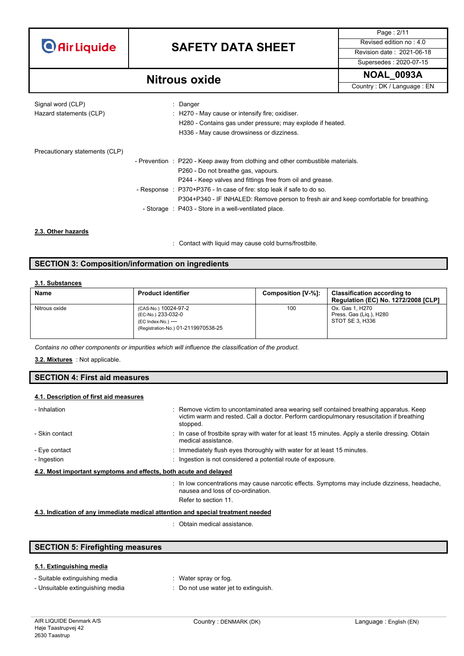# **SAFETY DATA SHEET** Revised edition no : 4.0

Page : 2/11 Supersedes : 2020-07-15

**NOAL\_0093A Nitrous oxide** Country : DK / Language : EN

| Signal word (CLP)<br>Hazard statements (CLP) | : Danger<br>: H270 - May cause or intensify fire; oxidiser.<br>H280 - Contains gas under pressure; may explode if heated.<br>H336 - May cause drowsiness or dizziness. |
|----------------------------------------------|------------------------------------------------------------------------------------------------------------------------------------------------------------------------|
| Precautionary statements (CLP)               |                                                                                                                                                                        |
|                                              | - Prevention : P220 - Keep away from clothing and other combustible materials.                                                                                         |
|                                              | P260 - Do not breathe gas, vapours.                                                                                                                                    |
|                                              | P244 - Keep valves and fittings free from oil and grease.                                                                                                              |
|                                              | - Response : P370+P376 - In case of fire: stop leak if safe to do so.                                                                                                  |
|                                              | P304+P340 - IF INHALED: Remove person to fresh air and keep comfortable for breathing.                                                                                 |
|                                              | - Storage : P403 - Store in a well-ventilated place.                                                                                                                   |

#### **2.3. Other hazards**

: Contact with liquid may cause cold burns/frostbite.

#### **SECTION 3: Composition/information on ingredients**

#### **3.1. Substances**

| Name          | <b>Product identifier</b>                                                                               | Composition [V-%]: | <b>Classification according to</b><br><b>Regulation (EC) No. 1272/2008 [CLP]</b> |
|---------------|---------------------------------------------------------------------------------------------------------|--------------------|----------------------------------------------------------------------------------|
| Nitrous oxide | (CAS-No.) 10024-97-2<br>(EC-No.) 233-032-0<br>(EC Index-No.) ---<br>(Registration-No.) 01-2119970538-25 | 100                | Ox. Gas 1. H270<br>Press. Gas (Lig.), H280<br>STOT SE 3. H336                    |

*Contains no other components or impurities which will influence the classification of the product.*

#### : Not applicable. **3.2. Mixtures**

#### **SECTION 4: First aid measures**

#### **4.1. Description of first aid measures**

| - Inhalation   | : Remove victim to uncontaminated area wearing self contained breathing apparatus. Keep<br>victim warm and rested. Call a doctor. Perform cardiopulmonary resuscitation if breathing<br>stopped. |
|----------------|--------------------------------------------------------------------------------------------------------------------------------------------------------------------------------------------------|
| - Skin contact | : In case of frostbite spray with water for at least 15 minutes. Apply a sterile dressing. Obtain<br>medical assistance.                                                                         |
| - Eye contact  | : Immediately flush eyes thoroughly with water for at least 15 minutes.                                                                                                                          |
| - Ingestion    | : Ingestion is not considered a potential route of exposure.                                                                                                                                     |
|                | 4.2. Most important symptoms and effects, both acute and delayed                                                                                                                                 |
|                | : In low concentrations may cause narcotic effects. Symptoms may include dizziness, headache.<br>nausea and loss of co-ordination.                                                               |
|                | Refer to section 11.                                                                                                                                                                             |
|                | halaataa kan af any immadiate nashaalaatan ana anaa alamamtan aadad                                                                                                                              |

**4.3. Indication of any immediate medical attention and special treatment needed**

: Obtain medical assistance.

|  |  | <b>SECTION 5: Firefighting measures</b> |  |
|--|--|-----------------------------------------|--|
|--|--|-----------------------------------------|--|

#### **5.1. Extinguishing media**

| - Suitable extinguishing media | : Water spray or fog. |
|--------------------------------|-----------------------|
|                                |                       |

- Unsuitable extinguishing media : Do not use water jet to extinguish.
	-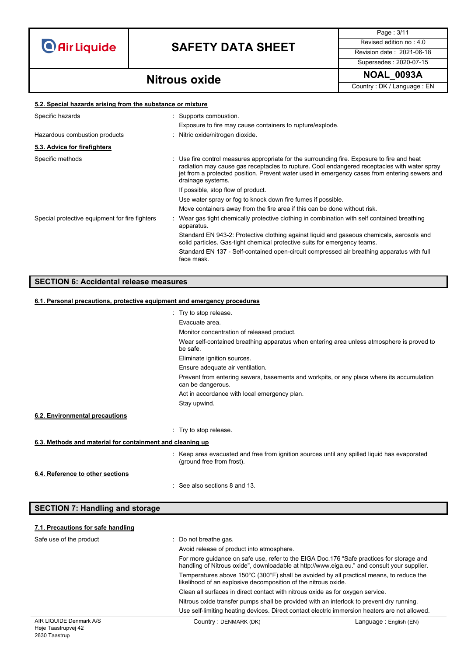# **SAFETY DATA SHEET** Revised edition no : 4.0

Supersedes : 2020-07-15

Page : 3/11

### **NOAL\_0093A Nitrous oxide**

Country : DK / Language : EN

#### **5.2. Special hazards arising from the substance or mixture**

| Specific hazards                               | : Supports combustion.<br>Exposure to fire may cause containers to rupture/explode.                                                                                                                                                                                                                               |
|------------------------------------------------|-------------------------------------------------------------------------------------------------------------------------------------------------------------------------------------------------------------------------------------------------------------------------------------------------------------------|
| Hazardous combustion products                  | : Nitric oxide/nitrogen dioxide.                                                                                                                                                                                                                                                                                  |
| 5.3. Advice for firefighters                   |                                                                                                                                                                                                                                                                                                                   |
| Specific methods                               | : Use fire control measures appropriate for the surrounding fire. Exposure to fire and heat<br>radiation may cause gas receptacles to rupture. Cool endangered receptacles with water spray<br>jet from a protected position. Prevent water used in emergency cases from entering sewers and<br>drainage systems. |
|                                                | If possible, stop flow of product.                                                                                                                                                                                                                                                                                |
|                                                | Use water spray or fog to knock down fire fumes if possible.                                                                                                                                                                                                                                                      |
|                                                | Move containers away from the fire area if this can be done without risk.                                                                                                                                                                                                                                         |
| Special protective equipment for fire fighters | Wear gas tight chemically protective clothing in combination with self contained breathing<br>apparatus.                                                                                                                                                                                                          |
|                                                | Standard EN 943-2: Protective clothing against liquid and gaseous chemicals, aerosols and<br>solid particles. Gas-tight chemical protective suits for emergency teams.                                                                                                                                            |
|                                                | Standard EN 137 - Self-contained open-circuit compressed air breathing apparatus with full<br>face mask.                                                                                                                                                                                                          |

#### **SECTION 6: Accidental release measures**

#### **6.1. Personal precautions, protective equipment and emergency procedures**

|                                                           | : Try to stop release.                                                                                                    |
|-----------------------------------------------------------|---------------------------------------------------------------------------------------------------------------------------|
|                                                           | Evacuate area.                                                                                                            |
|                                                           | Monitor concentration of released product.                                                                                |
|                                                           | Wear self-contained breathing apparatus when entering area unless atmosphere is proved to<br>be safe.                     |
|                                                           | Eliminate ignition sources.                                                                                               |
|                                                           | Ensure adequate air ventilation.                                                                                          |
|                                                           | Prevent from entering sewers, basements and workpits, or any place where its accumulation<br>can be dangerous.            |
|                                                           | Act in accordance with local emergency plan.                                                                              |
|                                                           | Stay upwind.                                                                                                              |
| 6.2. Environmental precautions                            |                                                                                                                           |
|                                                           | : Try to stop release.                                                                                                    |
| 6.3. Methods and material for containment and cleaning up |                                                                                                                           |
|                                                           | : Keep area evacuated and free from ignition sources until any spilled liquid has evaporated<br>(ground free from frost). |
| 6.4. Reference to other sections                          |                                                                                                                           |
|                                                           | : See also sections 8 and 13.                                                                                             |

### **SECTION 7: Handling and storage**

#### **7.1. Precautions for safe handling**

| Safe use of the product | : Do not breathe gas.<br>Avoid release of product into atmosphere.                                                                                                                      |                        |
|-------------------------|-----------------------------------------------------------------------------------------------------------------------------------------------------------------------------------------|------------------------|
|                         | For more quidance on safe use, refer to the EIGA Doc.176 "Safe practices for storage and<br>handling of Nitrous oxide", downloadable at http://www.eiga.eu." and consult your supplier. |                        |
|                         | Temperatures above 150°C (300°F) shall be avoided by all practical means, to reduce the<br>likelihood of an explosive decomposition of the nitrous oxide.                               |                        |
|                         | Clean all surfaces in direct contact with nitrous oxide as for oxygen service.                                                                                                          |                        |
|                         | Nitrous oxide transfer pumps shall be provided with an interlock to prevent dry running.                                                                                                |                        |
|                         | Use self-limiting heating devices. Direct contact electric immersion heaters are not allowed.                                                                                           |                        |
| AIR LIQUIDE Denmark A/S | Country: DENMARK (DK)                                                                                                                                                                   | Language: English (EN) |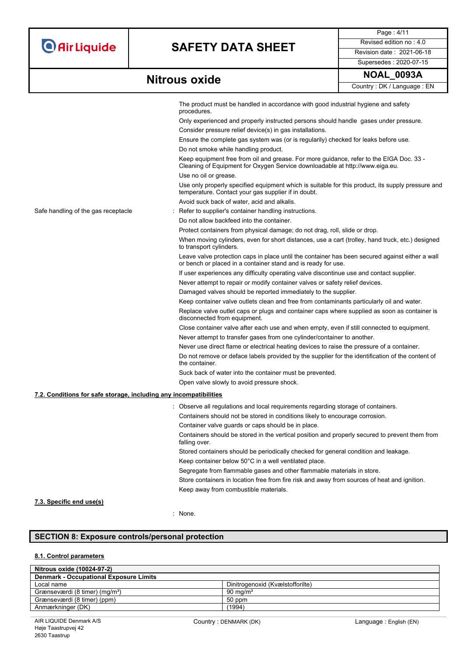# **SAFETY DATA SHEET** Revised edition no : 4.0

Page : 4/11 Supersedes : 2020-07-15

|                                                                   | The product must be handled in accordance with good industrial hygiene and safety<br>procedures.                                                                        |
|-------------------------------------------------------------------|-------------------------------------------------------------------------------------------------------------------------------------------------------------------------|
|                                                                   | Only experienced and properly instructed persons should handle gases under pressure.                                                                                    |
|                                                                   | Consider pressure relief device(s) in gas installations.                                                                                                                |
|                                                                   | Ensure the complete gas system was (or is regularily) checked for leaks before use.                                                                                     |
|                                                                   | Do not smoke while handling product.                                                                                                                                    |
|                                                                   | Keep equipment free from oil and grease. For more guidance, refer to the EIGA Doc. 33 -<br>Cleaning of Equipment for Oxygen Service downloadable at http://www.eiga.eu. |
|                                                                   | Use no oil or grease.                                                                                                                                                   |
|                                                                   | Use only properly specified equipment which is suitable for this product, its supply pressure and<br>temperature. Contact your gas supplier if in doubt.                |
|                                                                   | Avoid suck back of water, acid and alkalis.                                                                                                                             |
| Safe handling of the gas receptacle                               | Refer to supplier's container handling instructions.                                                                                                                    |
|                                                                   | Do not allow backfeed into the container.                                                                                                                               |
|                                                                   | Protect containers from physical damage; do not drag, roll, slide or drop.                                                                                              |
|                                                                   | When moving cylinders, even for short distances, use a cart (trolley, hand truck, etc.) designed<br>to transport cylinders.                                             |
|                                                                   | Leave valve protection caps in place until the container has been secured against either a wall<br>or bench or placed in a container stand and is ready for use.        |
|                                                                   | If user experiences any difficulty operating valve discontinue use and contact supplier.                                                                                |
|                                                                   | Never attempt to repair or modify container valves or safety relief devices.                                                                                            |
|                                                                   | Damaged valves should be reported immediately to the supplier.                                                                                                          |
|                                                                   | Keep container valve outlets clean and free from contaminants particularly oil and water.                                                                               |
|                                                                   | Replace valve outlet caps or plugs and container caps where supplied as soon as container is<br>disconnected from equipment.                                            |
|                                                                   | Close container valve after each use and when empty, even if still connected to equipment.                                                                              |
|                                                                   | Never attempt to transfer gases from one cylinder/container to another.                                                                                                 |
|                                                                   | Never use direct flame or electrical heating devices to raise the pressure of a container.                                                                              |
|                                                                   | Do not remove or deface labels provided by the supplier for the identification of the content of<br>the container.                                                      |
|                                                                   | Suck back of water into the container must be prevented.                                                                                                                |
|                                                                   | Open valve slowly to avoid pressure shock.                                                                                                                              |
| 7.2. Conditions for safe storage, including any incompatibilities |                                                                                                                                                                         |
|                                                                   | : Observe all regulations and local requirements regarding storage of containers.                                                                                       |
|                                                                   | Containers should not be stored in conditions likely to encourage corrosion.                                                                                            |
|                                                                   | Container valve guards or caps should be in place.                                                                                                                      |
|                                                                   | Containers should be stored in the vertical position and properly secured to prevent them from<br>falling over.                                                         |
|                                                                   | Stored containers should be periodically checked for general condition and leakage.                                                                                     |
|                                                                   | Keep container below 50°C in a well ventilated place.                                                                                                                   |
|                                                                   | Segregate from flammable gases and other flammable materials in store.                                                                                                  |
|                                                                   | Store containers in location free from fire risk and away from sources of heat and ignition.<br>Keep away from combustible materials.                                   |

#### **7.3. Specific end use(s)**

: None.

### **SECTION 8: Exposure controls/personal protection**

#### **8.1. Control parameters**

| Nitrous oxide (10024-97-2)                    |                                  |
|-----------------------------------------------|----------------------------------|
| <b>Denmark - Occupational Exposure Limits</b> |                                  |
| Local name                                    | Dinitrogenoxid (Kvælstofforilte) |
| Grænseværdi (8 timer) (mg/m <sup>3</sup> )    | $90 \text{ ma/m}^3$              |
| Grænseværdi (8 timer) (ppm)                   | 50 ppm                           |
| Anmærkninger (DK)                             | (1994)                           |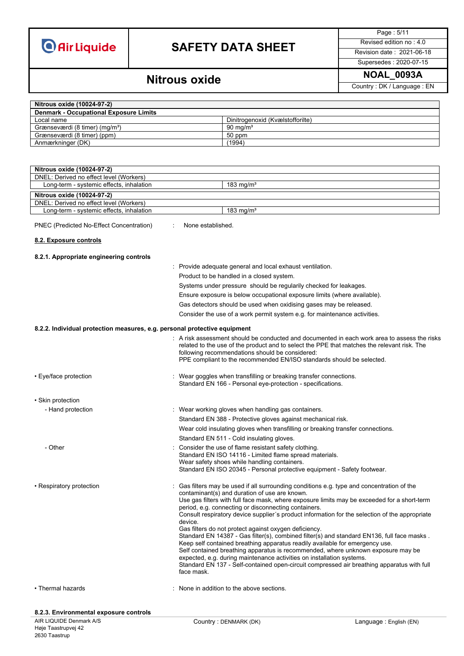# **SAFETY DATA SHEET** Revised edition no : 4.0

Page : 5/11

### Supersedes : 2020-07-15

### **NOAL\_0093A Nitrous oxide**

Country : DK / Language : EN

| Nitrous oxide (10024-97-2)                                                |                                           |                                                                                                                                                                                                                                                                                                                                                                                                                                                                                                |
|---------------------------------------------------------------------------|-------------------------------------------|------------------------------------------------------------------------------------------------------------------------------------------------------------------------------------------------------------------------------------------------------------------------------------------------------------------------------------------------------------------------------------------------------------------------------------------------------------------------------------------------|
| <b>Denmark - Occupational Exposure Limits</b>                             |                                           |                                                                                                                                                                                                                                                                                                                                                                                                                                                                                                |
| Local name                                                                |                                           | Dinitrogenoxid (Kvælstofforilte)                                                                                                                                                                                                                                                                                                                                                                                                                                                               |
| Grænseværdi (8 timer) (mg/m <sup>3</sup> )                                |                                           | 90 mg/ $m3$                                                                                                                                                                                                                                                                                                                                                                                                                                                                                    |
| Grænseværdi (8 timer) (ppm)                                               |                                           | 50 ppm                                                                                                                                                                                                                                                                                                                                                                                                                                                                                         |
| Anmærkninger (DK)                                                         |                                           | (1994)                                                                                                                                                                                                                                                                                                                                                                                                                                                                                         |
|                                                                           |                                           |                                                                                                                                                                                                                                                                                                                                                                                                                                                                                                |
| Nitrous oxide (10024-97-2)                                                |                                           |                                                                                                                                                                                                                                                                                                                                                                                                                                                                                                |
| DNEL: Derived no effect level (Workers)                                   |                                           |                                                                                                                                                                                                                                                                                                                                                                                                                                                                                                |
| Long-term - systemic effects, inhalation                                  |                                           | 183 $mg/m3$                                                                                                                                                                                                                                                                                                                                                                                                                                                                                    |
| Nitrous oxide (10024-97-2)                                                |                                           |                                                                                                                                                                                                                                                                                                                                                                                                                                                                                                |
| DNEL: Derived no effect level (Workers)                                   |                                           |                                                                                                                                                                                                                                                                                                                                                                                                                                                                                                |
| Long-term - systemic effects, inhalation                                  |                                           | 183 $mg/m3$                                                                                                                                                                                                                                                                                                                                                                                                                                                                                    |
| PNEC (Predicted No-Effect Concentration)                                  | None established.                         |                                                                                                                                                                                                                                                                                                                                                                                                                                                                                                |
| 8.2. Exposure controls                                                    |                                           |                                                                                                                                                                                                                                                                                                                                                                                                                                                                                                |
| 8.2.1. Appropriate engineering controls                                   |                                           |                                                                                                                                                                                                                                                                                                                                                                                                                                                                                                |
|                                                                           |                                           | : Provide adequate general and local exhaust ventilation.                                                                                                                                                                                                                                                                                                                                                                                                                                      |
|                                                                           |                                           | Product to be handled in a closed system.                                                                                                                                                                                                                                                                                                                                                                                                                                                      |
|                                                                           |                                           | Systems under pressure should be regularily checked for leakages.                                                                                                                                                                                                                                                                                                                                                                                                                              |
|                                                                           |                                           | Ensure exposure is below occupational exposure limits (where available).                                                                                                                                                                                                                                                                                                                                                                                                                       |
|                                                                           |                                           |                                                                                                                                                                                                                                                                                                                                                                                                                                                                                                |
|                                                                           |                                           | Gas detectors should be used when oxidising gases may be released.                                                                                                                                                                                                                                                                                                                                                                                                                             |
|                                                                           |                                           | Consider the use of a work permit system e.g. for maintenance activities.                                                                                                                                                                                                                                                                                                                                                                                                                      |
| 8.2.2. Individual protection measures, e.g. personal protective equipment |                                           |                                                                                                                                                                                                                                                                                                                                                                                                                                                                                                |
|                                                                           |                                           | : A risk assessment should be conducted and documented in each work area to assess the risks                                                                                                                                                                                                                                                                                                                                                                                                   |
|                                                                           |                                           | related to the use of the product and to select the PPE that matches the relevant risk. The<br>following recommendations should be considered:<br>PPE compliant to the recommended EN/ISO standards should be selected.                                                                                                                                                                                                                                                                        |
| • Eye/face protection                                                     |                                           | Wear goggles when transfilling or breaking transfer connections.<br>Standard EN 166 - Personal eye-protection - specifications.                                                                                                                                                                                                                                                                                                                                                                |
| • Skin protection                                                         |                                           |                                                                                                                                                                                                                                                                                                                                                                                                                                                                                                |
|                                                                           |                                           |                                                                                                                                                                                                                                                                                                                                                                                                                                                                                                |
| - Hand protection                                                         |                                           | : Wear working gloves when handling gas containers.                                                                                                                                                                                                                                                                                                                                                                                                                                            |
|                                                                           |                                           | Standard EN 388 - Protective gloves against mechanical risk.                                                                                                                                                                                                                                                                                                                                                                                                                                   |
|                                                                           |                                           | Wear cold insulating gloves when transfilling or breaking transfer connections.                                                                                                                                                                                                                                                                                                                                                                                                                |
|                                                                           |                                           | Standard EN 511 - Cold insulating gloves.                                                                                                                                                                                                                                                                                                                                                                                                                                                      |
| - Other                                                                   |                                           | Consider the use of flame resistant safety clothing.<br>Standard EN ISO 14116 - Limited flame spread materials.<br>Wear safety shoes while handling containers.                                                                                                                                                                                                                                                                                                                                |
|                                                                           |                                           | Standard EN ISO 20345 - Personal protective equipment - Safety footwear.                                                                                                                                                                                                                                                                                                                                                                                                                       |
| • Respiratory protection                                                  |                                           | Gas filters may be used if all surrounding conditions e.g. type and concentration of the<br>contaminant(s) and duration of use are known.<br>Use gas filters with full face mask, where exposure limits may be exceeded for a short-term                                                                                                                                                                                                                                                       |
|                                                                           | device.                                   | period, e.g. connecting or disconnecting containers.<br>Consult respiratory device supplier's product information for the selection of the appropriate                                                                                                                                                                                                                                                                                                                                         |
|                                                                           | face mask.                                | Gas filters do not protect against oxygen deficiency.<br>Standard EN 14387 - Gas filter(s), combined filter(s) and standard EN136, full face masks.<br>Keep self contained breathing apparatus readily available for emergency use.<br>Self contained breathing apparatus is recommended, where unknown exposure may be<br>expected, e.g. during maintenance activities on installation systems.<br>Standard EN 137 - Self-contained open-circuit compressed air breathing apparatus with full |
| • Thermal hazards                                                         | : None in addition to the above sections. |                                                                                                                                                                                                                                                                                                                                                                                                                                                                                                |

#### **8.2.3. Environmental exposure controls**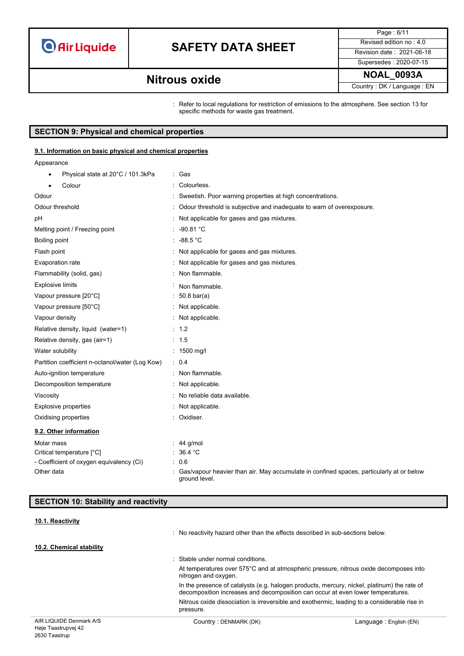## **SAFETY DATA SHEET** Revised edition no : 4.0

Page : 6/11 Supersedes : 2020-07-15

### **NOAL\_0093A Nitrous oxide**

Country : DK / Language : EN

: Refer to local regulations for restriction of emissions to the atmosphere. See section 13 for specific methods for waste gas treatment.

### **SECTION 9: Physical and chemical properties**

#### **9.1. Information on basic physical and chemical properties**

Appearance

| Physical state at 20°C / 101.3kPa<br>$\bullet$  | : Gas                                                                                                     |
|-------------------------------------------------|-----------------------------------------------------------------------------------------------------------|
| Colour                                          | Colourless.                                                                                               |
| Odour                                           | : Sweetish. Poor warning properties at high concentrations.                                               |
| Odour threshold                                 | Odour threshold is subjective and inadequate to warn of overexposure.                                     |
| рH                                              | Not applicable for gases and gas mixtures.                                                                |
| Melting point / Freezing point                  | $: -90.81 °C$                                                                                             |
| Boiling point                                   | : 48.5 °C                                                                                                 |
| Flash point                                     | Not applicable for gases and gas mixtures.                                                                |
| Evaporation rate                                | Not applicable for gases and gas mixtures.                                                                |
| Flammability (solid, gas)                       | Non flammable.                                                                                            |
| <b>Explosive limits</b>                         | Non flammable.                                                                                            |
| Vapour pressure [20°C]                          | $50.8 \text{ bar(a)}$                                                                                     |
| Vapour pressure [50°C]                          | Not applicable.                                                                                           |
| Vapour density                                  | Not applicable.                                                                                           |
| Relative density, liquid (water=1)              | : 1.2                                                                                                     |
| Relative density, gas (air=1)                   | : 1.5                                                                                                     |
| Water solubility                                | : $1500 \text{ mg/l}$                                                                                     |
| Partition coefficient n-octanol/water (Log Kow) | : 0.4                                                                                                     |
| Auto-ignition temperature                       | : Non flammable.                                                                                          |
| Decomposition temperature                       | Not applicable.                                                                                           |
| Viscosity                                       | No reliable data available.                                                                               |
| Explosive properties                            | Not applicable.                                                                                           |
| Oxidising properties                            | : Oxidiser.                                                                                               |
| 9.2. Other information                          |                                                                                                           |
| Molar mass                                      | 44 g/mol                                                                                                  |
| Critical temperature [°C]                       | 36.4 °C                                                                                                   |
| - Coefficient of oxygen equivalency (Ci)        | 0.6                                                                                                       |
| Other data                                      | Gas/vapour heavier than air. May accumulate in confined spaces, particularly at or below<br>around level. |

### **SECTION 10: Stability and reactivity**

**10.1. Reactivity**

: No reactivity hazard other than the effects described in sub-sections below.

#### **10.2. Chemical stability**

: Stable under normal conditions.

At temperatures over 575°C and at atmospheric pressure, nitrous oxide decomposes into nitrogen and oxygen.

In the presence of catalysts (e.g. halogen products, mercury, nickel, platinum) the rate of decomposition increases and decomposition can occur at even lower temperatures. Nitrous oxide dissociation is irreversible and exothermic, leading to a considerable rise in pressure.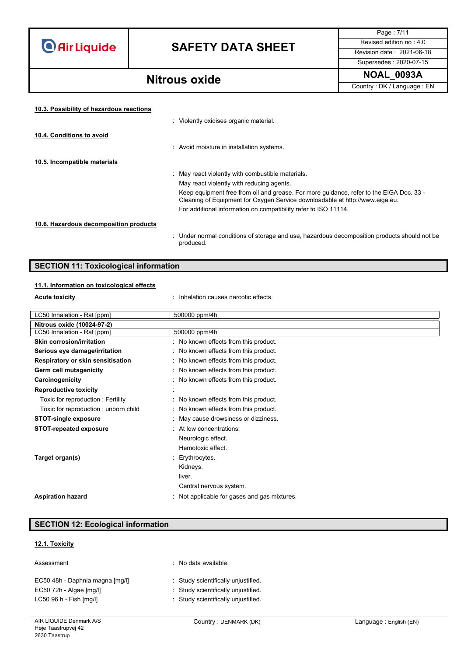# **SAFETY DATA SHEET** Revised edition no : 4.0

Supersedes : 2020-07-15

Page : 7/11

### **NOAL\_0093A Nitrous oxide**

Country : DK / Language : EN

| 10.3. Possibility of hazardous reactions |                                                                                                                                                                         |
|------------------------------------------|-------------------------------------------------------------------------------------------------------------------------------------------------------------------------|
|                                          | : Violently oxidises organic material.                                                                                                                                  |
| 10.4. Conditions to avoid                |                                                                                                                                                                         |
|                                          | : Avoid moisture in installation systems.                                                                                                                               |
| 10.5. Incompatible materials             |                                                                                                                                                                         |
|                                          | : May react violently with combustible materials.                                                                                                                       |
|                                          | May react violently with reducing agents.                                                                                                                               |
|                                          | Keep equipment free from oil and grease. For more quidance, refer to the EIGA Doc. 33 -<br>Cleaning of Equipment for Oxygen Service downloadable at http://www.eiga.eu. |
|                                          | For additional information on compatibility refer to ISO 11114.                                                                                                         |
| 10.6. Hazardous decomposition products   |                                                                                                                                                                         |
|                                          | : Under normal conditions of storage and use, hazardous decomposition products should not be<br>produced.                                                               |

#### **SECTION 11: Toxicological information**

#### **11.1. Information on toxicological effects**

**Acute toxicity inhalation causes narcotic effects.** 

| LC50 Inhalation - Rat [ppm]          | 500000 ppm/4h                                |
|--------------------------------------|----------------------------------------------|
| Nitrous oxide (10024-97-2)           |                                              |
| LC50 Inhalation - Rat [ppm]          | 500000 ppm/4h                                |
| <b>Skin corrosion/irritation</b>     | : No known effects from this product.        |
| Serious eye damage/irritation        | : No known effects from this product.        |
| Respiratory or skin sensitisation    | : No known effects from this product.        |
| Germ cell mutagenicity               | : No known effects from this product.        |
| Carcinogenicity                      | : No known effects from this product.        |
| <b>Reproductive toxicity</b>         |                                              |
| Toxic for reproduction: Fertility    | : No known effects from this product.        |
| Toxic for reproduction: unborn child | : No known effects from this product.        |
| <b>STOT-single exposure</b>          | : May cause drowsiness or dizziness.         |
| <b>STOT-repeated exposure</b>        | : At low concentrations:                     |
|                                      | Neurologic effect.                           |
|                                      | Hemotoxic effect.                            |
| Target organ(s)                      | Erythrocytes.                                |
|                                      | Kidneys.                                     |
|                                      | liver.                                       |
|                                      | Central nervous system.                      |
| <b>Aspiration hazard</b>             | : Not applicable for gases and gas mixtures. |

#### **SECTION 12: Ecological information**

#### **12.1. Toxicity**

| Assessment                      | : No data available.                |
|---------------------------------|-------------------------------------|
| EC50 48h - Daphnia magna [mg/l] | : Study scientifically unjustified. |
| EC50 72h - Algae [mg/l]         | : Study scientifically unjustified. |
| $LC5096 h - Fish [mq/II]$       | : Study scientifically unjustified. |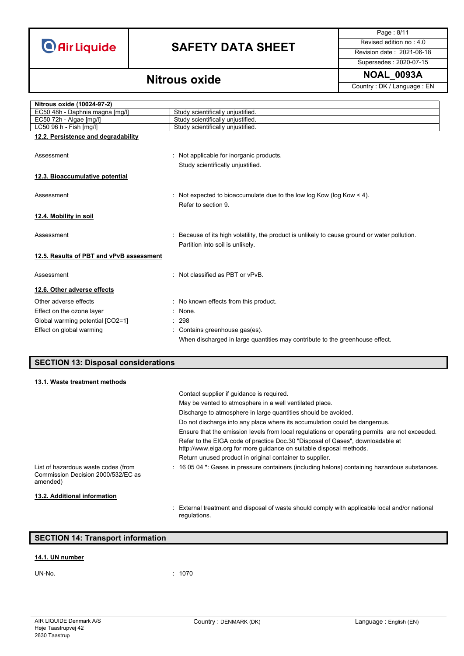# **SAFETY DATA SHEET** Revised edition no : 4.0

Page : 8/11

Supersedes : 2020-07-15

Country : DK / Language : EN

### **NOAL\_0093A Nitrous oxide**

| Nitrous oxide (10024-97-2)               |                                                                                               |
|------------------------------------------|-----------------------------------------------------------------------------------------------|
| EC50 48h - Daphnia magna [mg/l]          | Study scientifically unjustified.                                                             |
| EC50 72h - Algae [mg/l]                  | Study scientifically unjustified.                                                             |
| LC50 96 h - Fish [mg/l]                  | Study scientifically unjustified.                                                             |
| 12.2. Persistence and degradability      |                                                                                               |
|                                          |                                                                                               |
| Assessment                               | : Not applicable for inorganic products.                                                      |
|                                          | Study scientifically unjustified.                                                             |
|                                          |                                                                                               |
| 12.3. Bioaccumulative potential          |                                                                                               |
|                                          |                                                                                               |
| Assessment                               | : Not expected to bioaccumulate due to the low log Kow (log Kow $\leq 4$ ).                   |
|                                          | Refer to section 9.                                                                           |
| 12.4. Mobility in soil                   |                                                                                               |
|                                          |                                                                                               |
| Assessment                               | : Because of its high volatility, the product is unlikely to cause ground or water pollution. |
|                                          | Partition into soil is unlikely.                                                              |
|                                          |                                                                                               |
| 12.5. Results of PBT and vPvB assessment |                                                                                               |
|                                          |                                                                                               |
| Assessment                               | : Not classified as PBT or vPvB.                                                              |
| 12.6. Other adverse effects              |                                                                                               |
| Other adverse effects                    | : No known effects from this product.                                                         |
| Effect on the ozone layer                | $:$ None.                                                                                     |
| Global warming potential [CO2=1]         | : 298                                                                                         |
|                                          |                                                                                               |
| Effect on global warming                 | Contains greenhouse gas(es).                                                                  |

#### **SECTION 13: Disposal considerations**

| 13.1. Waste treatment methods                                                         |                                                                                                                                                       |
|---------------------------------------------------------------------------------------|-------------------------------------------------------------------------------------------------------------------------------------------------------|
|                                                                                       | Contact supplier if quidance is required.                                                                                                             |
|                                                                                       | May be vented to atmosphere in a well ventilated place.                                                                                               |
|                                                                                       | Discharge to atmosphere in large quantities should be avoided.                                                                                        |
|                                                                                       | Do not discharge into any place where its accumulation could be dangerous.                                                                            |
|                                                                                       | Ensure that the emission levels from local regulations or operating permits are not exceeded.                                                         |
|                                                                                       | Refer to the EIGA code of practice Doc.30 "Disposal of Gases", downloadable at<br>http://www.eiga.org for more guidance on suitable disposal methods. |
|                                                                                       | Return unused product in original container to supplier.                                                                                              |
| List of hazardous waste codes (from<br>Commission Decision 2000/532/EC as<br>amended) | : 16 05 04 *: Gases in pressure containers (including halons) containing hazardous substances.                                                        |
| 13.2. Additional information                                                          |                                                                                                                                                       |
|                                                                                       | : External treatment and disposal of waste should comply with applicable local and/or national                                                        |

When discharged in large quantities may contribute to the greenhouse effect.

#### **SECTION 14: Transport information**

#### **14.1. UN number**

UN-No. : 1070

regulations.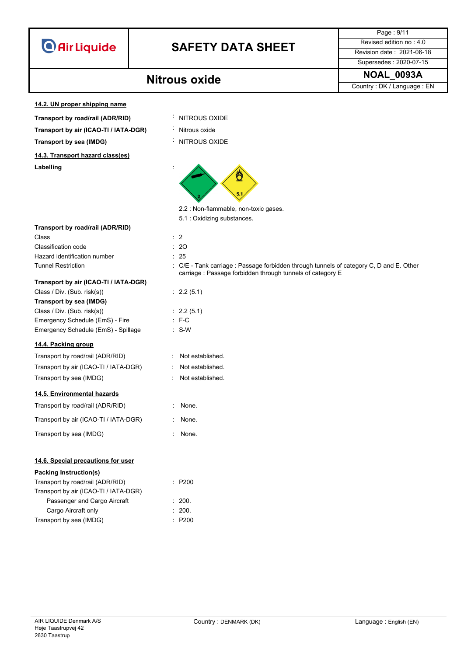

## **SAFETY DATA SHEET** Revised edition no : 4.0

Supersedes : 2020-07-15

Page : 9/11

**NOAL\_0093A Nitrous oxide** Country : DK / Language : EN

**14.2. UN proper shipping name**

- **Transport by road/rail (ADR/RID)** : NITROUS OXIDE
- **Transport by air (ICAO-TI / IATA-DGR)** : Nitrous oxide

**Transport by sea (IMDG)** : NITROUS OXIDE

**14.3. Transport hazard class(es)**

**Labelling** :

- 
- 
- 



- 2.2 : Non-flammable, non-toxic gases.
- 5.1 : Oxidizing substances.

| Transport by road/rail (ADR/RID) |  |  |  |  |
|----------------------------------|--|--|--|--|
|----------------------------------|--|--|--|--|

Class : 2 Classification code : 20 Hazard identification number **1996** 

#### **Transport by air (ICAO-TI / IATA-DGR)**

| Class / Div. (Sub. risk(s))         | : 2.2   |
|-------------------------------------|---------|
| Transport by sea (IMDG)             |         |
| Class / Div. (Sub. risk(s))         | : 2.2   |
| Emergency Schedule (EmS) - Fire     | $E - C$ |
| Emergency Schedule (EmS) - Spillage | : S-W   |
|                                     |         |

#### **14.4. Packing group**

| Transport by road/rail (ADR/RID)      |
|---------------------------------------|
| Transport by air (ICAO-TI / IATA-DGR) |
| Transport by sea (IMDG)               |

#### **14.5. Environmental hazards**

Transport by road/rail (ADR/RID) : None.

Transport by air (ICAO-TI / IATA-DGR) : None.

Transport by sea (IMDG)  $\qquad \qquad$ : None.

#### **14.6. Special precautions for user**

| <b>Packing Instruction(s)</b>         |        |
|---------------------------------------|--------|
| Transport by road/rail (ADR/RID)      | : P200 |
| Transport by air (ICAO-TI / IATA-DGR) |        |
| Passenger and Cargo Aircraft          | : 200. |
| Cargo Aircraft only                   | : 200. |
| Transport by sea (IMDG)               | : P200 |

| ۰.<br>۰.<br>× |
|---------------|
| v<br>۰,       |

- Tunnel Restriction **in the COL Tank carriage : Passage forbidden through tunnels of category C, D and E. Other** carriage : Passage forbidden through tunnels of category E
	- $: 2.2 (5.1)$
	- $: 2.2 (5.1)$
	-
	- $\therefore$  S-W
	- : Not established.
	- : Not established.
	- : Not established.
	-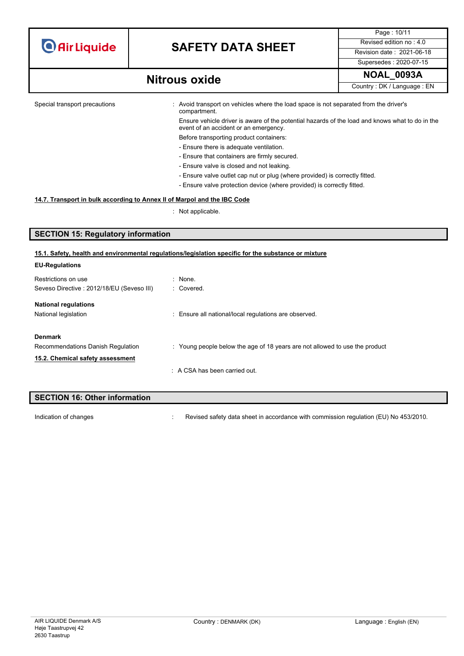## **SAFETY DATA SHEET** Revised edition no : 4.0

Page : 10/11 Supersedes : 2020-07-15

## **NOAL\_0093A Nitrous oxide**

Country : DK / Language : EN

Special transport precautions : Avoid transport on vehicles where the load space is not separated from the driver's compartment.

Ensure vehicle driver is aware of the potential hazards of the load and knows what to do in the event of an accident or an emergency.

- Before transporting product containers: - Ensure there is adequate ventilation.
- Ensure that containers are firmly secured.
- Ensure valve is closed and not leaking.
- Ensure valve outlet cap nut or plug (where provided) is correctly fitted.
- Ensure valve protection device (where provided) is correctly fitted.

#### **14.7. Transport in bulk according to Annex II of Marpol and the IBC Code**

: Not applicable.

#### **SECTION 15: Regulatory information**

#### **15.1. Safety, health and environmental regulations/legislation specific for the substance or mixture**

| <b>EU-Regulations</b>                      |                                                                             |
|--------------------------------------------|-----------------------------------------------------------------------------|
| Restrictions on use                        | $:$ None.                                                                   |
| Seveso Directive : 2012/18/EU (Seveso III) | : Covered.                                                                  |
| <b>National regulations</b>                |                                                                             |
| National legislation                       | : Ensure all national/local regulations are observed.                       |
| <b>Denmark</b>                             |                                                                             |
| Recommendations Danish Regulation          | : Young people below the age of 18 years are not allowed to use the product |
| 15.2. Chemical safety assessment           |                                                                             |
|                                            | $\therefore$ A CSA has been carried out.                                    |

# **SECTION 16: Other information**

Indication of changes **interview of the Changes** : Revised safety data sheet in accordance with commission regulation (EU) No 453/2010.